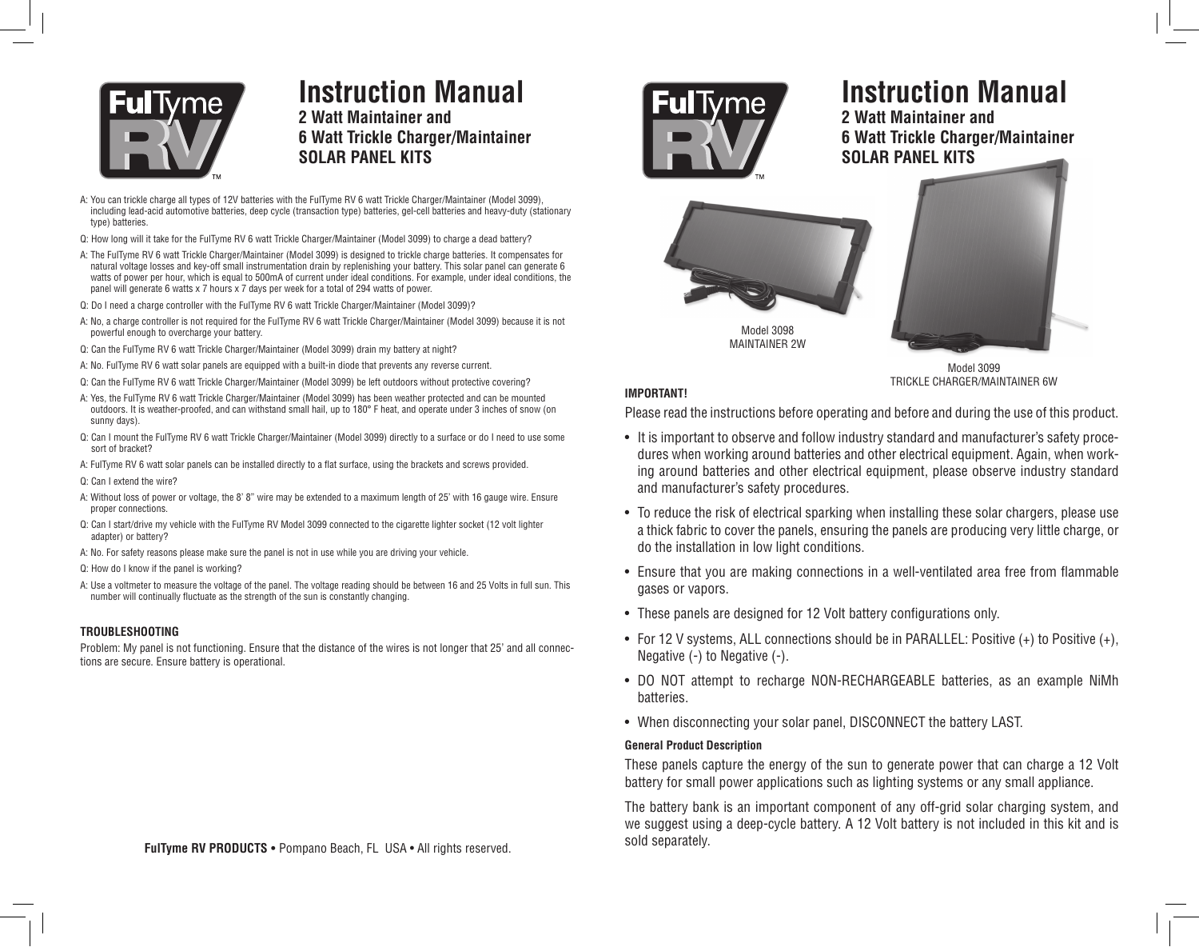

# **Instruction Manual**

**2 Watt Maintainer and 6 Watt Trickle Charger/Maintainer SOLAR PANEL KITS**

- A: You can trickle charge all types of 12V batteries with the FulTyme RV 6 watt Trickle Charger/Maintainer (Model 3099), including lead-acid automotive batteries, deep cycle (transaction type) batteries, gel-cell batteries and heavy-duty (stationary type) batteries.
- Q: How long will it take for the FulTyme RV 6 watt Trickle Charger/Maintainer (Model 3099) to charge a dead battery?
- A: The FulTyme RV 6 watt Trickle Charger/Maintainer (Model 3099) is designed to trickle charge batteries. It compensates for natural voltage losses and key-off small instrumentation drain by replenishing your battery. This solar panel can generate 6 watts of power per hour, which is equal to 500mA of current under ideal conditions. For example, under ideal conditions, the panel will generate 6 watts x 7 hours x 7 days per week for a total of 294 watts of power.
- Q: Do I need a charge controller with the FulTyme RV 6 watt Trickle Charger/Maintainer (Model 3099)?
- A: No, a charge controller is not required for the FulTyme RV 6 watt Trickle Charger/Maintainer (Model 3099) because it is not powerful enough to overcharge your battery.
- Q: Can the FulTyme RV 6 watt Trickle Charger/Maintainer (Model 3099) drain my battery at night?
- A: No. FulTyme RV 6 watt solar panels are equipped with a built-in diode that prevents any reverse current.
- Q: Can the FulTyme RV 6 watt Trickle Charger/Maintainer (Model 3099) be left outdoors without protective covering?
- A: Yes, the FulTyme RV 6 watt Trickle Charger/Maintainer (Model 3099) has been weather protected and can be mounted outdoors. It is weather-proofed, and can withstand small hail, up to 180° F heat, and operate under 3 inches of snow (on sunny days).
- Q: Can I mount the FulTyme RV 6 watt Trickle Charger/Maintainer (Model 3099) directly to a surface or do I need to use some sort of bracket?
- A: FulTyme RV 6 watt solar panels can be installed directly to a flat surface, using the brackets and screws provided.
- Q: Can I extend the wire?
- A: Without loss of power or voltage, the 8' 8" wire may be extended to a maximum length of 25' with 16 gauge wire. Ensure proper connections.
- Q: Can I start/drive my vehicle with the FulTyme RV Model 3099 connected to the cigarette lighter socket (12 volt lighter adapter) or battery?
- A: No. For safety reasons please make sure the panel is not in use while you are driving your vehicle.
- Q: How do I know if the panel is working?
- A: Use a voltmeter to measure the voltage of the panel. The voltage reading should be between 16 and 25 Volts in full sun. This number will continually fluctuate as the strength of the sun is constantly changing.

#### **TROUBLESHOOTING**

Problem: My panel is not functioning. Ensure that the distance of the wires is not longer that 25' and all connections are secure. Ensure battery is operational.



## **Instruction Manual**

**2 Watt Maintainer and 6 Watt Trickle Charger/Maintainer SOLAR PANEL KITS**



Model 3099 TRICKLE CHARGER/MAINTAINER 6W

#### **IMPORTANT!**

Please read the instructions before operating and before and during the use of this product.

- It is important to observe and follow industry standard and manufacturer's safety procedures when working around batteries and other electrical equipment. Again, when working around batteries and other electrical equipment, please observe industry standard and manufacturer's safety procedures.
- To reduce the risk of electrical sparking when installing these solar chargers, please use a thick fabric to cover the panels, ensuring the panels are producing very little charge, or do the installation in low light conditions.
- Ensure that you are making connections in a well-ventilated area free from flammable gases or vapors.
- These panels are designed for 12 Volt battery configurations only.
- For 12 V systems, ALL connections should be in PARALLEL: Positive (+) to Positive (+), Negative (-) to Negative (-).
- DO NOT attempt to recharge NON-RECHARGEABLE batteries, as an example NiMh batteries.
- When disconnecting your solar panel, DISCONNECT the battery LAST.

#### **General Product Description**

These panels capture the energy of the sun to generate power that can charge a 12 Volt battery for small power applications such as lighting systems or any small appliance.

The battery bank is an important component of any off-grid solar charging system, and we suggest using a deep-cycle battery. A 12 Volt battery is not included in this kit and is sold separately.